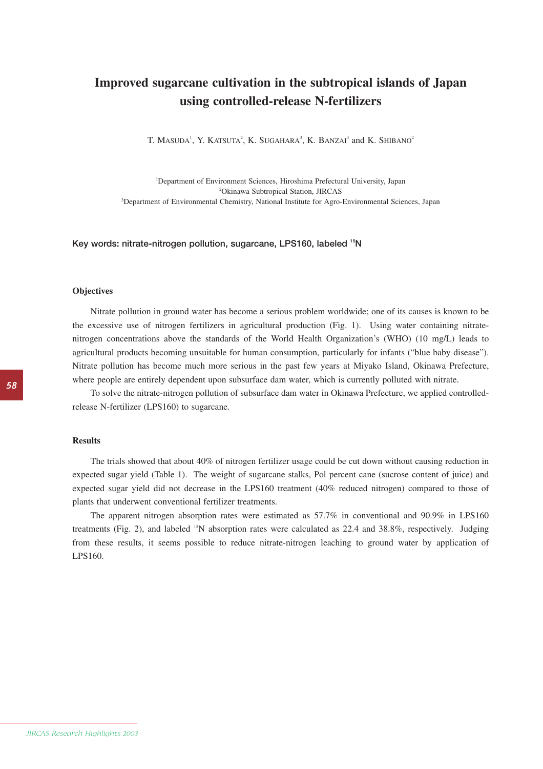## **Improved sugarcane cultivation in the subtropical islands of Japan using controlled-release N-fertilizers**

T. MASUDA<sup>1</sup>, Y. KATSUTA<sup>2</sup>, K. SUGAHARA<sup>3</sup>, K. BANZAI<sup>3</sup> and K. Shibano<sup>2</sup>

1 Department of Environment Sciences, Hiroshima Prefectural University, Japan 2 Okinawa Subtropical Station, JIRCAS 3 Department of Environmental Chemistry, National Institute for Agro-Environmental Sciences, Japan

**Key words: nitrate-nitrogen pollution, sugarcane, LPS160, labeled 15N**

## **Objectives**

Nitrate pollution in ground water has become a serious problem worldwide; one of its causes is known to be the excessive use of nitrogen fertilizers in agricultural production (Fig. 1). Using water containing nitratenitrogen concentrations above the standards of the World Health Organization's (WHO) (10 mg/L) leads to agricultural products becoming unsuitable for human consumption, particularly for infants ("blue baby disease"). Nitrate pollution has become much more serious in the past few years at Miyako Island, Okinawa Prefecture, where people are entirely dependent upon subsurface dam water, which is currently polluted with nitrate.

To solve the nitrate-nitrogen pollution of subsurface dam water in Okinawa Prefecture, we applied controlledrelease N-fertilizer (LPS160) to sugarcane.

## **Results**

The trials showed that about 40% of nitrogen fertilizer usage could be cut down without causing reduction in expected sugar yield (Table 1). The weight of sugarcane stalks, Pol percent cane (sucrose content of juice) and expected sugar yield did not decrease in the LPS160 treatment (40% reduced nitrogen) compared to those of plants that underwent conventional fertilizer treatments.

The apparent nitrogen absorption rates were estimated as 57.7% in conventional and 90.9% in LPS160 treatments (Fig. 2), and labeled <sup>15</sup>N absorption rates were calculated as 22.4 and 38.8%, respectively. Judging from these results, it seems possible to reduce nitrate-nitrogen leaching to ground water by application of LPS160.